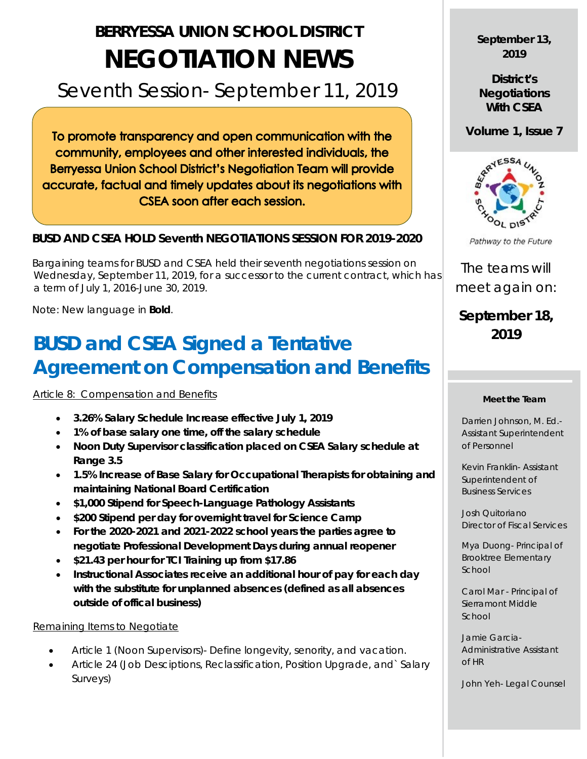# **BERRYESSA UNION SCHOOL DISTRICT NEGOTIATION NEWS**

## Seventh Session- September 11, 2019

To promote transparency and open communication with the community, employees and other interested individuals, the **Berryessa Union School District's Negotiation Team will provide** accurate, factual and timely updates about its negotiations with CSEA soon after each session.

#### **BUSD AND CSEA HOLD Seventh NEGOTIATIONS SESSION FOR 2019-2020**

 Bargaining teams for BUSD and CSEA held their seventh negotiations session on Wednesday, September 11, 2019, for a successor to the current contract, which has a term of July 1, 2016-June 30, 2019.

Note: New language in **Bold**.

## **BUSD and CSEA Signed a Tentative Agreement on Compensation and Benefits**

Article 8: Compensation and Benefits

- **3.26% Salary Schedule Increase effective July 1, 2019**
- **1% of base salary one time, off the salary schedule**
- **Noon Duty Supervisor classification placed on CSEA Salary schedule at Range 3.5**
- **1.5% Increase of Base Salary for Occupational Therapists for obtaining and maintaining National Board Certification**
- **\$1,000 Stipend for Speech-Language Pathology Assistants**
- **\$200 Stipend per day for overnight travel for Science Camp**
- **For the 2020-2021 and 2021-2022 school years the parties agree to negotiate Professional Development Days during annual reopener**
- **\$21.43 per hour for TCI Training up from \$17.86**
- **Instructional Associates receive an additional hour of pay for each day with the substitute for unplanned absences (defined as all absences outside of offical business)**

#### Remaining Items to Negotiate

- Article 1 (Noon Supervisors)- Define longevity, senority, and vacation.
- Article 24 (Job Desciptions, Reclassification, Position Upgrade, and` Salary Surveys)

### **September 13, 2019**

**District's Negotiations With CSEA**

**Volume 1, Issue 7**



Pathway to the Future

The teams will meet again on:

### **September 18, 2019**

#### **Meet the Team**

Darrien Johnson, M. Ed.- Assistant Superintendent of Personnel

Kevin Franklin- Assistant Superintendent of Business Services

Josh Quitoriano Director of Fiscal Services

Mya Duong- Principal of Brooktree Elementary School

Carol Mar - Principal of Sierramont Middle School

Jamie Garcia-Administrative Assistant of HR

John Yeh- Legal Counsel